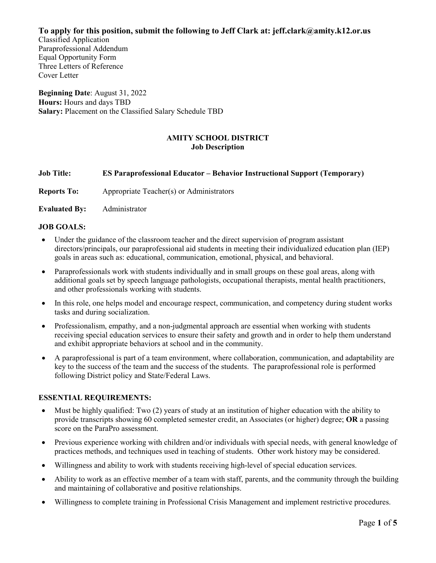**To apply for this position, submit the following to Jeff Clark at: jeff.clark@amity.k12.or.us**

Classified Application Paraprofessional Addendum Equal Opportunity Form Three Letters of Reference Cover Letter

**Beginning Date**: August 31, 2022 **Hours:** Hours and days TBD **Salary:** Placement on the Classified Salary Schedule TBD

## **AMITY SCHOOL DISTRICT Job Description**

### **Job Title: ES Paraprofessional Educator – Behavior Instructional Support (Temporary)**

**Reports To:** Appropriate Teacher(s) or Administrators

**Evaluated By:** Administrator

### **JOB GOALS:**

- Under the guidance of the classroom teacher and the direct supervision of program assistant directors/principals, our paraprofessional aid students in meeting their individualized education plan (IEP) goals in areas such as: educational, communication, emotional, physical, and behavioral.
- Paraprofessionals work with students individually and in small groups on these goal areas, along with additional goals set by speech language pathologists, occupational therapists, mental health practitioners, and other professionals working with students.
- In this role, one helps model and encourage respect, communication, and competency during student works tasks and during socialization.
- Professionalism, empathy, and a non-judgmental approach are essential when working with students receiving special education services to ensure their safety and growth and in order to help them understand and exhibit appropriate behaviors at school and in the community.
- A paraprofessional is part of a team environment, where collaboration, communication, and adaptability are key to the success of the team and the success of the students. The paraprofessional role is performed following District policy and State/Federal Laws.

#### **ESSENTIAL REQUIREMENTS:**

- Must be highly qualified: Two (2) years of study at an institution of higher education with the ability to provide transcripts showing 60 completed semester credit, an Associates (or higher) degree; **OR** a passing score on the ParaPro assessment.
- Previous experience working with children and/or individuals with special needs, with general knowledge of practices methods, and techniques used in teaching of students. Other work history may be considered.
- Willingness and ability to work with students receiving high-level of special education services.
- Ability to work as an effective member of a team with staff, parents, and the community through the building and maintaining of collaborative and positive relationships.
- Willingness to complete training in Professional Crisis Management and implement restrictive procedures.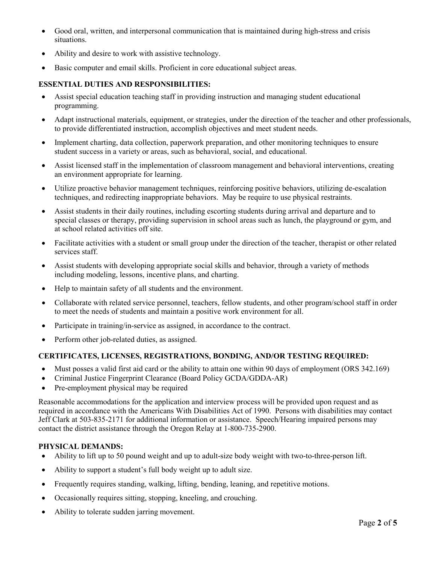- Good oral, written, and interpersonal communication that is maintained during high-stress and crisis situations.
- Ability and desire to work with assistive technology.
- Basic computer and email skills. Proficient in core educational subject areas.

# **ESSENTIAL DUTIES AND RESPONSIBILITIES:**

- Assist special education teaching staff in providing instruction and managing student educational programming.
- Adapt instructional materials, equipment, or strategies, under the direction of the teacher and other professionals, to provide differentiated instruction, accomplish objectives and meet student needs.
- Implement charting, data collection, paperwork preparation, and other monitoring techniques to ensure student success in a variety or areas, such as behavioral, social, and educational.
- Assist licensed staff in the implementation of classroom management and behavioral interventions, creating an environment appropriate for learning.
- Utilize proactive behavior management techniques, reinforcing positive behaviors, utilizing de-escalation techniques, and redirecting inappropriate behaviors. May be require to use physical restraints.
- Assist students in their daily routines, including escorting students during arrival and departure and to special classes or therapy, providing supervision in school areas such as lunch, the playground or gym, and at school related activities off site.
- Facilitate activities with a student or small group under the direction of the teacher, therapist or other related services staff.
- Assist students with developing appropriate social skills and behavior, through a variety of methods including modeling, lessons, incentive plans, and charting.
- Help to maintain safety of all students and the environment.
- Collaborate with related service personnel, teachers, fellow students, and other program/school staff in order to meet the needs of students and maintain a positive work environment for all.
- Participate in training/in-service as assigned, in accordance to the contract.
- Perform other job-related duties, as assigned.

# **CERTIFICATES, LICENSES, REGISTRATIONS, BONDING, AND/OR TESTING REQUIRED:**

- Must posses a valid first aid card or the ability to attain one within 90 days of employment (ORS 342.169)
- Criminal Justice Fingerprint Clearance (Board Policy GCDA/GDDA-AR)
- Pre-employment physical may be required

Reasonable accommodations for the application and interview process will be provided upon request and as required in accordance with the Americans With Disabilities Act of 1990. Persons with disabilities may contact Jeff Clark at 503-835-2171 for additional information or assistance. Speech/Hearing impaired persons may contact the district assistance through the Oregon Relay at 1-800-735-2900.

# **PHYSICAL DEMANDS:**

- Ability to lift up to 50 pound weight and up to adult-size body weight with two-to-three-person lift.
- Ability to support a student's full body weight up to adult size.
- Frequently requires standing, walking, lifting, bending, leaning, and repetitive motions.
- Occasionally requires sitting, stopping, kneeling, and crouching.
- Ability to tolerate sudden jarring movement.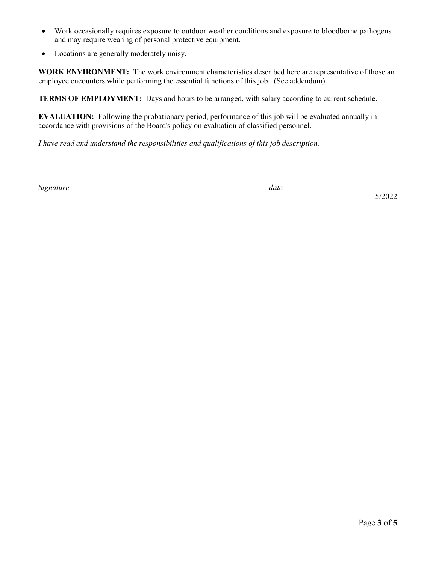- Work occasionally requires exposure to outdoor weather conditions and exposure to bloodborne pathogens and may require wearing of personal protective equipment.
- Locations are generally moderately noisy.

**WORK ENVIRONMENT:** The work environment characteristics described here are representative of those an employee encounters while performing the essential functions of this job. (See addendum)

**TERMS OF EMPLOYMENT:** Days and hours to be arranged, with salary according to current schedule.

**EVALUATION:** Following the probationary period, performance of this job will be evaluated annually in accordance with provisions of the Board's policy on evaluation of classified personnel.

*I have read and understand the responsibilities and qualifications of this job description.*

*Signature date*

5/2022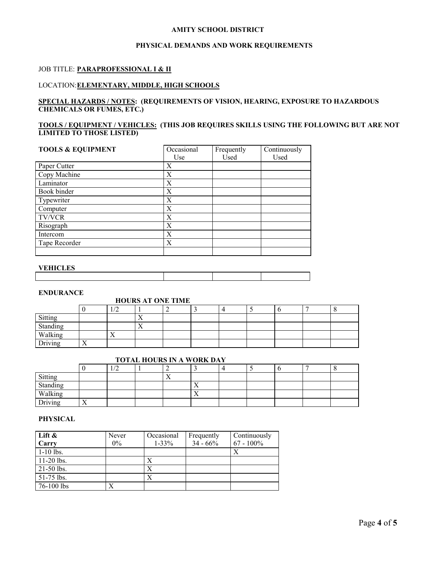#### **AMITY SCHOOL DISTRICT**

#### **PHYSICAL DEMANDS AND WORK REQUIREMENTS**

#### JOB TITLE: **PARAPROFESSIONAL I & II**

#### LOCATION:**ELEMENTARY, MIDDLE, HIGH SCHOOLS**

#### **SPECIAL HAZARDS / NOTES: (REQUIREMENTS OF VISION, HEARING, EXPOSURE TO HAZARDOUS CHEMICALS OR FUMES, ETC.)**

#### **TOOLS / EQUIPMENT / VEHICLES: (THIS JOB REQUIRES SKILLS USING THE FOLLOWING BUT ARE NOT LIMITED TO THOSE LISTED)**

| <b>TOOLS &amp; EQUIPMENT</b> | Occasional | Frequently | Continuously |
|------------------------------|------------|------------|--------------|
|                              | Use        | Used       | Used         |
| Paper Cutter                 | X          |            |              |
| Copy Machine                 | X          |            |              |
| Laminator                    | X          |            |              |
| Book binder                  | X          |            |              |
| Typewriter                   | X          |            |              |
| Computer                     | Χ          |            |              |
| <b>TV/VCR</b>                | X          |            |              |
| Risograph                    | Х          |            |              |
| Intercom                     | X          |            |              |
| Tape Recorder                | Χ          |            |              |
|                              |            |            |              |

#### **VEHICLES**

| ------------- |  |  |
|---------------|--|--|
|               |  |  |
|               |  |  |
|               |  |  |
|               |  |  |

#### **ENDURANCE**

#### **HOURS AT ONE TIME**

|                                           | __<br>_______          |           |                           |  |  |  |  |  |  |
|-------------------------------------------|------------------------|-----------|---------------------------|--|--|--|--|--|--|
|                                           |                        |           |                           |  |  |  |  |  |  |
|                                           |                        |           | ∡⊾                        |  |  |  |  |  |  |
| Sitting<br>Standing<br>Walking<br>Driving |                        |           | $\mathbf{v}$<br>$\lambda$ |  |  |  |  |  |  |
|                                           |                        | $\lambda$ |                           |  |  |  |  |  |  |
|                                           | $ -$<br>$\overline{ }$ |           |                           |  |  |  |  |  |  |

# **TOTAL HOURS IN A WORK DAY**

|                     |                   | $\sqrt{2}$<br>⊥≀∠ |                |                |  |  |  |
|---------------------|-------------------|-------------------|----------------|----------------|--|--|--|
|                     |                   |                   | $\overline{ }$ |                |  |  |  |
| Sitting<br>Standing |                   |                   |                | $\overline{ }$ |  |  |  |
| Walking             |                   |                   |                | $\lambda$      |  |  |  |
| Driving             | $ -$<br>$\Lambda$ |                   |                |                |  |  |  |

### **PHYSICAL**

| Lift $\&$    | Never | Occasional | Frequently  | Continuously |
|--------------|-------|------------|-------------|--------------|
| Carry        | $0\%$ | $1 - 33\%$ | $34 - 66\%$ | $67 - 100\%$ |
| $1-10$ lbs.  |       |            |             | Х            |
| $11-20$ lbs. |       |            |             |              |
| $21-50$ lbs. |       |            |             |              |
| $51-75$ lbs. |       | X          |             |              |
| $76-100$ lbs |       |            |             |              |